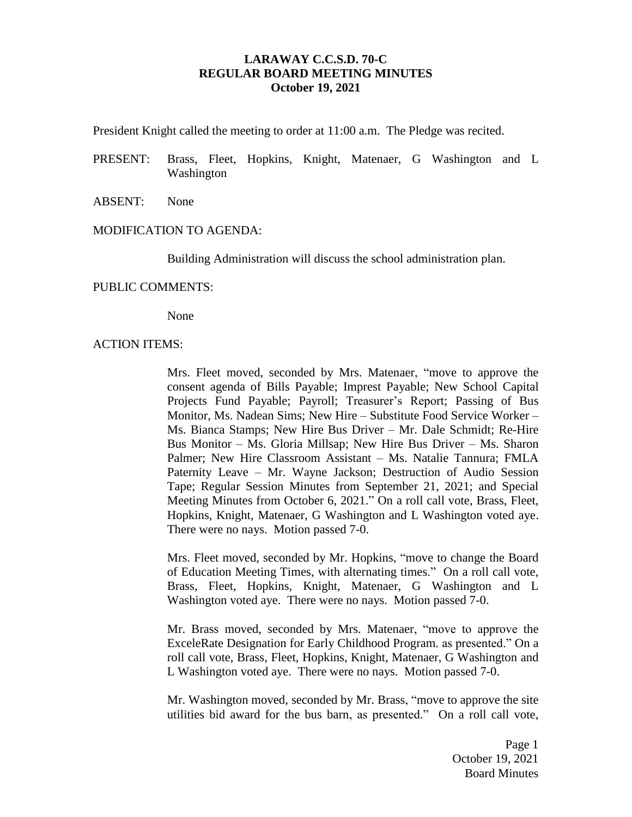# **LARAWAY C.C.S.D. 70-C REGULAR BOARD MEETING MINUTES October 19, 2021**

President Knight called the meeting to order at 11:00 a.m. The Pledge was recited.

- PRESENT: Brass, Fleet, Hopkins, Knight, Matenaer, G Washington and L Washington
- ABSENT: None

#### MODIFICATION TO AGENDA:

Building Administration will discuss the school administration plan.

#### PUBLIC COMMENTS:

None

#### ACTION ITEMS:

Mrs. Fleet moved, seconded by Mrs. Matenaer, "move to approve the consent agenda of Bills Payable; Imprest Payable; New School Capital Projects Fund Payable; Payroll; Treasurer's Report; Passing of Bus Monitor, Ms. Nadean Sims; New Hire – Substitute Food Service Worker – Ms. Bianca Stamps; New Hire Bus Driver – Mr. Dale Schmidt; Re-Hire Bus Monitor – Ms. Gloria Millsap; New Hire Bus Driver – Ms. Sharon Palmer; New Hire Classroom Assistant – Ms. Natalie Tannura; FMLA Paternity Leave – Mr. Wayne Jackson; Destruction of Audio Session Tape; Regular Session Minutes from September 21, 2021; and Special Meeting Minutes from October 6, 2021." On a roll call vote, Brass, Fleet, Hopkins, Knight, Matenaer, G Washington and L Washington voted aye. There were no nays. Motion passed 7-0.

Mrs. Fleet moved, seconded by Mr. Hopkins, "move to change the Board of Education Meeting Times, with alternating times." On a roll call vote, Brass, Fleet, Hopkins, Knight, Matenaer, G Washington and L Washington voted aye. There were no nays. Motion passed 7-0.

Mr. Brass moved, seconded by Mrs. Matenaer, "move to approve the ExceleRate Designation for Early Childhood Program. as presented." On a roll call vote, Brass, Fleet, Hopkins, Knight, Matenaer, G Washington and L Washington voted aye. There were no nays. Motion passed 7-0.

Mr. Washington moved, seconded by Mr. Brass, "move to approve the site utilities bid award for the bus barn, as presented." On a roll call vote,

> Page 1 October 19, 2021 Board Minutes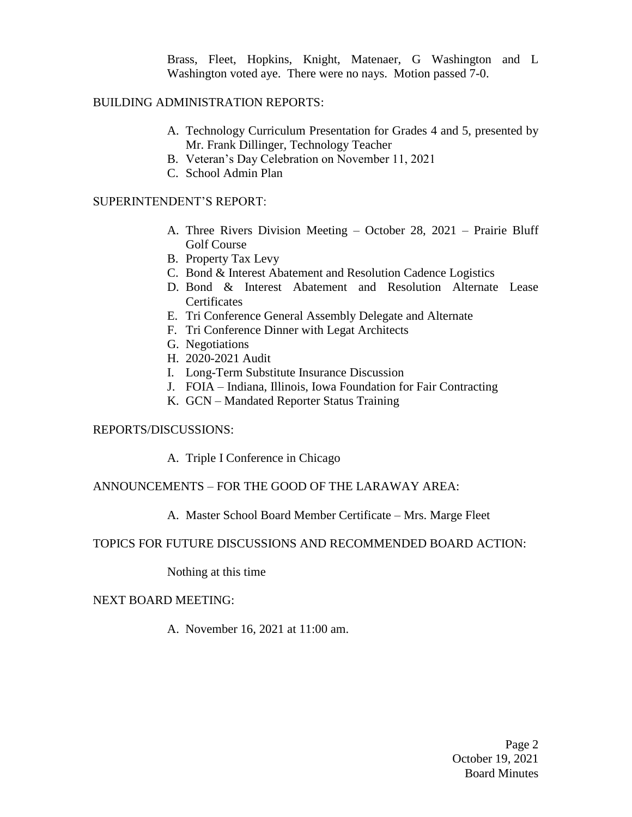Brass, Fleet, Hopkins, Knight, Matenaer, G Washington and L Washington voted aye. There were no nays. Motion passed 7-0.

## BUILDING ADMINISTRATION REPORTS:

- A. Technology Curriculum Presentation for Grades 4 and 5, presented by Mr. Frank Dillinger, Technology Teacher
- B. Veteran's Day Celebration on November 11, 2021
- C. School Admin Plan

# SUPERINTENDENT'S REPORT:

- A. Three Rivers Division Meeting October 28, 2021 Prairie Bluff Golf Course
- B. Property Tax Levy
- C. Bond & Interest Abatement and Resolution Cadence Logistics
- D. Bond & Interest Abatement and Resolution Alternate Lease **Certificates**
- E. Tri Conference General Assembly Delegate and Alternate
- F. Tri Conference Dinner with Legat Architects
- G. Negotiations
- H. 2020-2021 Audit
- I. Long-Term Substitute Insurance Discussion
- J. FOIA Indiana, Illinois, Iowa Foundation for Fair Contracting
- K. GCN Mandated Reporter Status Training

## REPORTS/DISCUSSIONS:

A. Triple I Conference in Chicago

## ANNOUNCEMENTS – FOR THE GOOD OF THE LARAWAY AREA:

## A. Master School Board Member Certificate – Mrs. Marge Fleet

## TOPICS FOR FUTURE DISCUSSIONS AND RECOMMENDED BOARD ACTION:

Nothing at this time

## NEXT BOARD MEETING:

A. November 16, 2021 at 11:00 am.